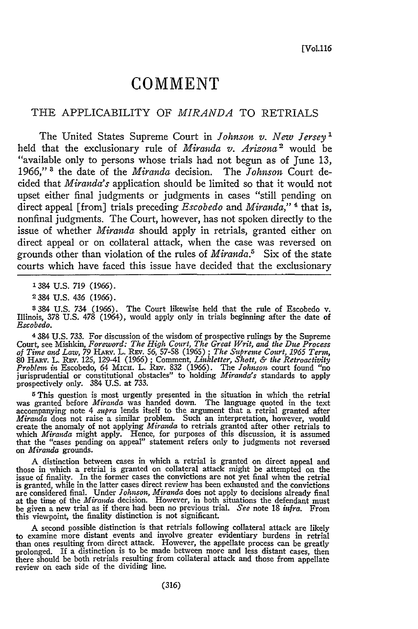## **COMMENT**

## THE APPLICABILITY OF *MIRANDA* TO RETRIALS

The United States Supreme Court in *Johnson v. New Jersey1* held that the exclusionary rule of *Miranda v. Arizona'* would be "available only to persons whose trials had not begun as of June 13, 1966," **3** the date of the *Miranda* decision. The *Johnson* Court decided that *Miranda's* application should be limited so that it would not upset either final judgments or judgments in cases "still pending on direct appeal [from] trials preceding *Escobedo and Miranda,"* ' that is, nonfinal judgments. The Court, however, has not spoken directly to the issue of whether *Miranda* should apply in retrials, granted either on direct appeal or on collateral attack, when the case was reversed on grounds other than violation of the rules of *Miranda.5* Six of the state courts which have faced this issue have decided that the exclusionary

1384 **U.S.** 719 (1966).

**2384 U.S.** 436 (1966).

3384 **U.S.** 734 (1966). The Court likewise held that the rule of Escobedo v. Illinois, 378 **U.S. 478** (1964), would apply only in trials beginning after the date of Escobedo.

4384 **U.S. 733.** For discussion of the wisdom of prospective rulings by the Supreme Court, see Mishkin, *Foreword: The High Court, The Great Writ, and the Due Process* of Time and Law, 79 HARV. L. REV. 56, 57-58 (1965); The Supreme Court, 1965 Term,<br>80 HARV. L. REV. 125, 129-41 (1966); Comment, Linkletter, Shott, & the Retroactivity<br>Problem in Escobedo, 64 MICH. L. REV. 832 (1966). The J prospectively only. 384 **U.S.** at 733.

**5This** question is most urgently presented in the situation in which the retrial was granted before *Miranda* was handed down. The language quoted in the text accompanying note 4 *supra* lends itself to the argument that a retrial granted after<br>*Miranda* does not raise a similar problem. Such an interpretation, however, would<br>create the anomaly of not applying *Miranda* to retri which *Miranda* might apply. Hence, for purposes of this discussion, it is assumed that the "cases pending on appeal" statement refers only to judgments not reversed on *Miranda* grounds.

A distinction between cases in which a retrial is granted on direct appeal and those in which a retrial is granted on collateral attack might be attempted on the issue of finality. In the former cases the convictions are not yet final when the retrial<br>is granted, while in the latter cases direct review has been exhausted and the convictions is granted, while in the latter cases direct review has been exhausted and the convictions are considered final. Under *Johnson, Miranda* does not apply to decisions already final at the time of the *Miranda* decision. However, in both situations the defendant must be given a new trial as if there had been no previous trial. *See* note 18 *infra.* From this viewpoint, the finality distinction is not significant.

A second possible distinction is that retrials following collateral attack are likely to examine more distant events and involve greater evidentiary burdens in retrial than ones resulting from direct attack. However, the appellate process can be greatly prolonged. If a distinction is to be made between more and less distant cases, then there should be both retrials resulting from collateral attack and those from appellate review on each side of the dividing line.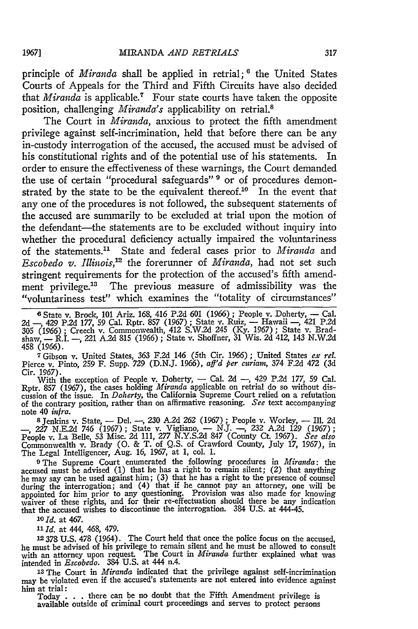principle of *Miranda* shall be applied in retrial;<sup>6</sup> the United States Courts of Appeals for the Third and Fifth Circuits have also decided that *Miranda* is applicable.<sup>7</sup> Four state courts have taken the opposite position, challenging *Miranda's* applicability on retrial.<sup>8</sup>

The Court in *Miranda,* anxious to protect the fifth amendment privilege against self-incrimination, held that before there can be any in-custody interrogation of the accused, the accused must be advised of his constitutional rights and of the potential use of his statements. In order to ensure the effectiveness of these warnings, the Court demanded the use of certain "procedural safeguards" **9** or of procedures demonstrated by the state to be the equivalent thereof.<sup>10</sup> In the event that any one of the procedures is not followed, the subsequent statements of the accused are summarily to be excluded at trial upon the motion of the defendant—the statements are to be excluded without inquiry into whether the procedural deficiency actually impaired the voluntariness of the statements." State and federal cases prior to *Miranda* and *Escobedo v. Illinois,'"* the forerunner of *Miranda,* had not set such stringent requirements for the protection of the accused's fifth amendment privilege.<sup>13</sup> The previous measure of admissibility was the "voluntariness test" which examines the "totality of circumstances"

**7** Gibson v. United States, 363 F.2d 146 (5th Cir. 1966); United States *ex re.* Pierce v. Pinto, **259** F. Supp. 729 (D.N.J. *1966), aff'd per curiam,* 374 F.2d 472 (3d Cir. 1967).

With the exception of People v. Doherty, - Cal. 2d -, 429 P.2d 177, 59 Cal. Rptr. **857** (1967), the cases holding *Miranda* applicable on retrial do so without dis-cussion of the issue. In *Doherty,* the California Supreme Court relied on a refutation of the contrary position, rather than on affirmative reasoning. *See* text accompanying note 40 *infra.*

**s** Jenkins v. State, - Del. -, **230** A.2d *262* (1967) ; People v. Worley, **-** Ill. 2d *-,* 227 N.E.2d 746 (1967); State v. Vigliano, **-** N.J. **-,** 232 A.2d 129 (1967); People v. La Belle, 53 Misc. 2d 111, **277** N.Y.S.2d 847 (County Ct 1967). *See also* Commonwealth v. Brady **(0.** & T. of Q.S. of Crawford County, July 17, 1967), in The Legal Intelligencer, Aug. 16, 1967, at 1, col. 1.

**9 The** Supreme Court enumerated the following procedures in *Miranda: the* accused must be advised (1) that he has a right to remain silent; *(2)* that anything he may say can be used against him; (3) that he has a right to the presence of counsel during the interrogation; and (4) that if he cannot pay an attorney, one will be appointed for him prior to any questioning. Provision was also made for knowing waiver of these rights, and for their re-effectuation should there be any indication that the accused wishes to discontinue the interrogation. 384 U.S. at 444-45.

*1o Id.* at 467.

*"1 Id.* at 444, 468, 479.

**<sup>12</sup>**378 **U.S. 478** (1964). The Court held that once the police focus on the accused, he must be advised of his privilege to remain silent and he must be allowed to consult<br>with an attorney upon request. The Court in *Miranda* further explained what was<br>intended in *Escobedo*. 384 U.S. at 444 n.4.

**<sup>13</sup>**The Court in *Miranda* indicated that the privilege against self-incrimination may be violated even if the accused's statements are not entered into evidence against him at trial:

Today . **. .** there can be no doubt that the Fifth Amendment privilege is available outside of criminal court proceedings and serves to protect persons

**<sup>6</sup>** State v. Brock, **101** Ariz. *168, 416* P.2d **601** *(1966)* ; People v. Doherty, - Cal. 2d -, 429 P.2d 177, 59 Cal. Rptr. 857 (1967); State v. Ruiz, -- Hawaii --, 421 P.2d **305** *(1966)* ; Creech v. Commonwealth, 412 S.W.2d 245 (Ky. 1967) ; State v. Bradshaw, — R.I. —, 221 A.2d 815 (1966) ; State v. Shoffner, 31 Wis. 2d 412, 143 N.W.2d<br>458 (1966).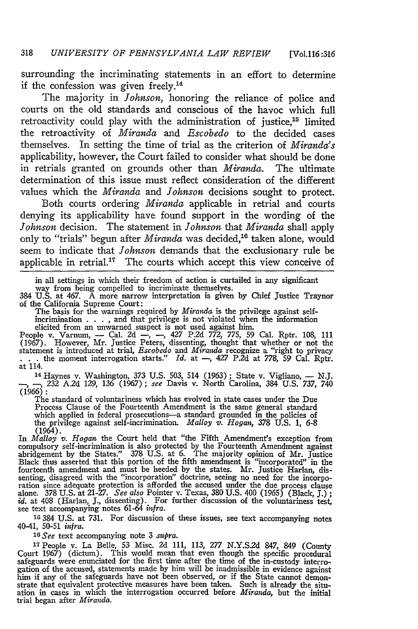surrounding the incriminating statements in an effort to determine if the confession was given freely.<sup>14</sup>

The majority in *Johnson,* honoring the reliance of police and courts on the old standards and conscious of the havoc which full retroactivity could play with the administration of justice,<sup>15</sup> limited the retroactivity of *Miranda and Escobedo* to the decided cases themselves. In setting the time of trial as the criterion of *Miranda's* applicability, however, the Court failed to consider what should be done in retrials granted on grounds other than *Miranda.* The ultimate determination of this issue must reflect consideration of the different values which the *Miranda and Johnson* decisions sought to protect.

Both courts ordering *Miranda* applicable in retrial and courts denying its applicability have found support in the wording of the *Johnson* decision. The statement in *Johnson* that *Miranda* shall apply only to "trials" begun after *Miranda* was decided,<sup>16</sup> taken alone, would seem to indicate that *Johnson* demands that the exclusionary rule be applicable in retrial.<sup>17</sup> The courts which accept this view conceive of

in all settings in which their freedom of action is curtailed in any significant

way from being compelled to incriminate themselves. 384 U.S. at 467. A more narrow interpretation is given by Chief Justice Traynor of the California Supreme Court:

The basis for the warnings required by *Miranda* is the privilege against selfincrimination . **. ,** and that privilege is not violated when the information

elicited from an unwarned suspect is not used against him.<br>People v. Varnum, -- Cal. 2d --, --, 427 P.2d 772, 775, 59 Cal. Rptr. 108, 111 (1967). However, Mr. Justice Peters, dissenting, thought that whether or not the statement is introduced at trial, *Escobedo* and *Miranda* recognize a "right to privacy . . . the moment interrogation starts." *Id.* at  $$ at 114.

<sup>14</sup> Haynes v. Washington, 373 U.S. 503, 514 (1963); State v. Vigliano, - N.J.<br>
-, 232 A.2d 129, 136 (1967); *see* Davis v. North Carolina, 384 U.S. 737, 740<br>
(1966):

The standard of voluntariness which has evolved in state cases under the Due Process Clause of the Fourteenth Amendment is the same general standard which applied in federal prosecutions—a standard grounded in the policies of the privilege against self-incrimination. *Malloy v. Hogan*, 378 U.S. 1, 6-8 (1964).

In *Malloy v. Hogan* the Court held that "the Fifth Amendment's exception from compulsory self-incrimination is also protected by the Fourteenth Amendment against abridgement by the States." 378 U.S. at 6. The majority opinion of Mr. Justice Black thus asserted that this portion of the fifth amendment is "incorporated" in the fourteenth amendment and must be heeded by the states. Mr. Justice Harlan, dissenting, disagreed with the "incorporation" doctrine, seeing no need for the incorporation since adequate protection is afforded the accused und alone. 378 U.S. at 21-27. See also Pointer v. Texas, 380 U.S. 400 (1965) (Black, J.); id. at 408 (Harlan, J., dissenting). For further discussion of the voluntariness test, see text accompanying notes 61-64 *infra*.

**15 384** U.S. at 731. For discussion of these issues, see text accompanying notes 40-41, 50-51 *infra.*

*' <sup>5</sup> See* text accompanying note 3 *supra.*

<sup>17</sup> People v. La Belle, 53 Misc. 2d 111, 113, 277 N.Y.S.2d 847, 849 (County Court 1967) (dictum). This would mean that even though the specific procedura safeguards were enunciated for the first time after the time of th him if any of the safeguards have not been observed, or if the State cannot demonstrate that equivalent protective measures have been taken. Such is already the situ-ation in cases in which the interrogation occurred before *Miranda,* but the initial trial began after *Miranda.*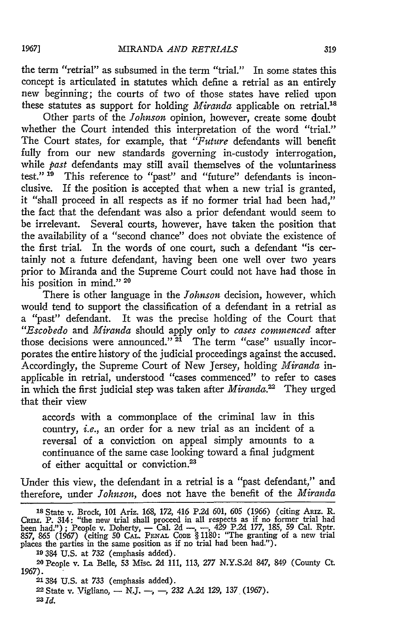the term "retrial" as subsumed in the term "trial." In some states this concept is articulated in statutes which define a retrial as an entirely new beginning; the courts of two of those states have relied upon these statutes as support for holding *Miranda* applicable on retrial.'<sup>8</sup>

Other parts of the *Johnson* opinion, however, create some doubt whether the Court intended this interpretation of the word "trial." The Court states, for example, that *"Future* defendants will benefit fully from our new standards governing in-custody interrogation, while *past* defendants may still avail themselves of the voluntariness test."<sup>19</sup> This reference to "past" and "future" defendants is inconclusive. If the position is accepted that when a new trial is granted, it "shall proceed in all respects as if no former trial had been had," the fact that the defendant was also a prior defendant would seem to be irrelevant. Several courts, however, have taken the position that the availability of a "second chance" does not obviate the existence of the first trial. In the words of one court, such a defendant "is certainly not a future defendant, having been one well over two years prior to Miranda and the Supreme Court could not have had those in his position in mind."<sup>20</sup>

There is other language in the *Johnson* decision, however, which would tend to support the classification of a defendant in a retrial as a "past" defendant. It was the precise holding of the Court that *"Escobedo* and *Miranda* should apply only to *cases commenced* after those decisions were announced."<sup>21</sup> The term "case" usually incorporates the entire history of the judicial proceedings against the accused. Accordingly, the Supreme Court of New Jersey, holding *Miranda* inapplicable in retrial, understood "cases commenced" to refer to cases in which the first judicial step was taken after *Miranda*.<sup>22</sup> They urged that their view

accords with a commonplace of the criminal law in this country, *i.e.,* an order for a new trial as an incident of a reversal of a conviction on appeal simply amounts to a continuance of the same case looking toward a final judgment of either acquittal or conviction.<sup>23</sup>

Under this view, the defendant in a retrial is a "past defendant," and therefore, under *Johnson,* does not have the benefit of the *Miranda*

**23** *Id.*

**<sup>18</sup>** State v. Brock, 101 Ariz. 168, 172, 416 P.2d 601, **605** (1966) (citing ARiz. R. CRIM. P. 314: "the new trial shall proceed in all respects as if no former trial had<br>been had."); People v. Doherty, — Cal. 2d —, —, 429 P.2d 177, 185, 59 Cal. Rptr.<br>857, 865 (1967) (citing 50 CAL. PENAL CODE § 1180: "The

<sup>19 384</sup> U.S. at **732** (emphasis added).

**<sup>20</sup>**People v. La Belle, **53** Misc. 2d 111, 113, **277** N.Y.S.2d 847, 849 (County Ct. 1967).

**<sup>21384</sup> U.S.** at *733* (emphasis added).

<sup>22</sup>State *v.* Vigliano, - N.J. *-,* -, 232 A.2d 129, 137 (1967).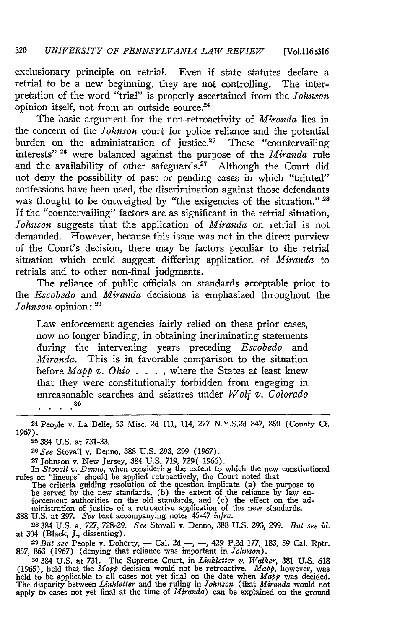exclusionary principle on retrial. Even if state statutes declare a retrial to be a new beginning, they are not controlling. The interpretation of the word "trial" is properly ascertained from the *Johnson* opinion itself, not from an outside source.<sup>24</sup>

The basic argument for the non-retroactivity of *Miranda* lies in the concern of the *Johnson* court for police reliance and the potential burden on the administration of justice.<sup>26</sup> These "countervailing interests"<sup>26</sup> were balanced against the purpose of the *Miranda* rule and the availability of other safeguards.<sup>27</sup> Although the Court did not deny the possibility of past or pending cases in which "tainted" confessions have been used, the discrimination against those defendants was thought to be outweighed by "the exigencies of the situation." **'** If the "countervailing" factors are as significant in the retrial situation, *Johnson* suggests that the application of *Miranda* on retrial is not demanded. However, because this issue was not in the direct purview of the Court's decision, there may be factors peculiar to the retrial situation which could suggest differing application of *Miranda* to retrials and to other non-final judgments.

The reliance of public officials on standards acceptable prior to *the Escobedo* and *Miranda* decisions is emphasized throughout the *Johnson* opinion: **'**

Law enforcement agencies fairly relied on these prior cases, now no longer binding, in obtaining incriminating statements during the intervening years preceding *Escobedo* and *Miranda.* This is in favorable comparison to the situation before *Mapp v. Ohio* . . . , where the States at least knew that they were constitutionally forbidden from engaging in unreasonable searches and seizures under *Wolf v. Colorado*  $\cdot$  . . . <sup>30</sup>

**25384** U.S. at 731-33.

*26See* Stovall v. Denno, 388 U.S. 293, 299 (1967). **<sup>27</sup>**Johnson v. New Jersey, 384 U.S. 719, 729( 1966).

In *Stovall v. Denno*, when considering the extent to which the new constitutional rules on "lineups" should be applied retroactively, the Court noted that

The criteria guiding resolution of the question implicate (a) the purpose to be served by the new standards, (b) the extent of the reliance by law enforcement authorities on the old standards, and (c) the effect on the ad-ministration of justice of a retroactive application of the new standards. 388 U.S. at 297. *See* text accompanying notes 45-47 *infra.*

**28** 384 U.S. at 727, 728-29. *See* Stovall v. Denno, 388 U.S. 293, 299. *But see id.* at 304 (Black, **J.,** dissenting).

**<sup>29</sup>***But see* People v. Doherty, - Cal. 2d *-, -,* 429 P.2d 177, 183, 59 Cal. Rptr. 857, 863 (1967) (denying that reliance was important in *Johnson).*

**<sup>30</sup>**384 U.S. at 731. The Supreme Court, in *Linkletter v. Walker,* 381 U.S. 618 (1965), held that the *Mapp* decision would not be retroactive. *Mapp*, however, was<br>held to be applicable to all cases not yet final on the date when *Mapp* was decided.<br>The disparity between *Linkletter* and the ruling apply to cases not yet final at the time of *Miranda)* can be explained on the ground

**<sup>24</sup>** People v. La Belle, 53 Misc. 2d 111, 114, 277 N.Y.S.2d 847, **850** (County Ct. 1967).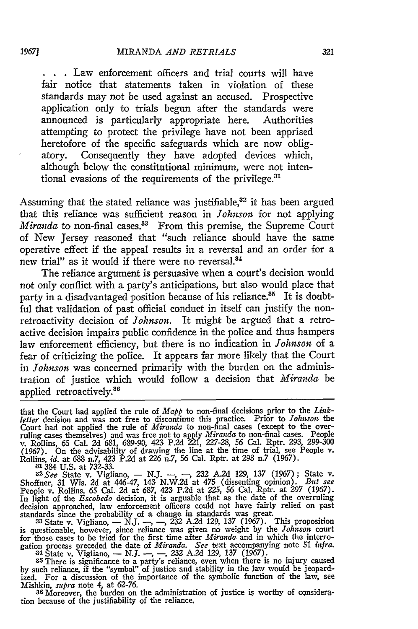**<sup>S</sup>..** Law enforcement officers and trial courts will have fair notice that statements taken in violation of these standards may not be used against an accused. Prospective application only to trials begun after the standards were announced is particularly appropriate here. Authorities attempting to protect the privilege have not been apprised heretofore of the specific safeguards which are now obligatory. Consequently they have adopted devices which, although below the constitutional minimum, were not intentional evasions of the requirements of the privilege.<sup>31</sup>

Assuming that the stated reliance was justifiable, $32$  it has been argued that this reliance was sufficient reason in *Johnson* for not applying *Miranda* to non-final cases.<sup>33</sup> From this premise, the Supreme Court of New Jersey reasoned that "such reliance should have the same operative effect if the appeal results in a reversal and an order for a new trial" as it would if there were no reversal.<sup>34</sup>

The reliance argument is persuasive when a court's decision would not only conflict with a party's anticipations, but also would place that party in a disadvantaged position because of his reliance.<sup>35</sup> It is doubtful that validation of past official conduct in itself can justify the nonretroactivity decision of *Johnson.* It might be argued that a retroactive decision impairs public confidence in the police and thus hampers law enforcement efficiency, but there is no indication in *Johnson* of a fear of criticizing the police. It appears far more likely that the Court in *Johnson* was concerned primarily with the burden on the administration of justice which would follow a decision that *Miranda* be applied retroactively.<sup>36</sup>

that the Court had applied the rule of *Mapp* to non-final decisions prior to the *Linkletter* decision and was not free to discontinue this practice. Prior to *Johnson* the Court had not applied the rule of *Miranda* to non-final cases (except to the over-ruling cases themselves) and was free not to apply *Miranda* to non-final cases. People v. Rollins, **65** Cal. **2d 681, 689-90,** 423 **P.2d** 221, **227-28, 56** Cal. Rptr. **293, 299-300 (1967).** On the advisability of drawing the line at the time of trial, see People v. Rollins, *id.* at **688** n.7, 423 P.2d at **226** n.7, **56** Cal. Rptr. at **298** n.7 **(1967).**

**-31384 U.S.** at **732-33.** *<sup>3</sup> <sup>2</sup> See* State v. Vigliano, **- N.J.** *-, -,* **232 A.2d 129, 137 (1967);** State v. Shoffner, 31 Wis. 2d at 446-47, 143 N.W.2d at 475 (dissenting opinion). But see<br>People v. Rollins, 65 Cal. 2d at 687, 423 P.2d at 225, 56 Cal. Rptr. at 297 (1967). In light of the *Escobedo* decision, it is arguable that as the date of the overruling decision approached, law enforcement officers could not have fairly relied on past<br>standards since the probability of a change in standards was great.<br> $33$  State v. Vigliano,  $-$  N.J.  $-$ ,  $-$ , 232 A.2d 129, 137 (1967). T

is questionable, however, since reliance was given no weight **by** the *Johnson* court for those cases to be tried for the first time after *Miranda* and in which the interrogation process preceded the date of *Miranda*. See text accompanying note 51 *infra*.<br><sup>34</sup> State v. Vigliano,  $- N.J. -, -, 232$  A.2d 129,

**by** such reliance, if the "symbol" of justice and stability in the law would be jeopardized. For a discussion of the importance of the symbolic function of the law, see Mishkin, *supra* note 4, at **62-76. 36** Moreover, the burden on the administration of justice is worthy of considera-

tion because of the justifiability of the reliance.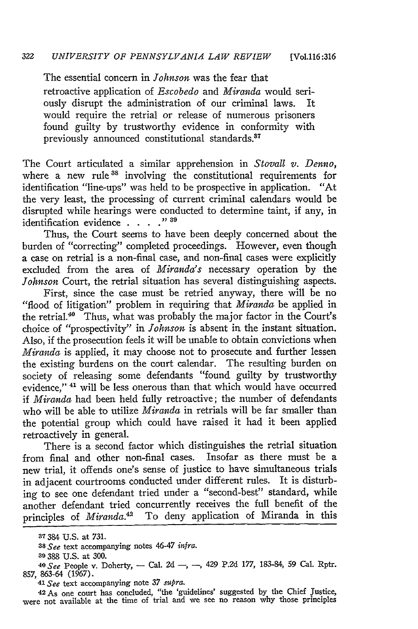The essential concern in *Johnson* was the fear that retroactive application of *Escobedo* and *Miranda* would seriously disrupt the administration of our criminal laws. It would require the retrial or release of numerous prisoners found guilty by trustworthy evidence in conformity with previously announced constitutional standards.<sup>37</sup>

The Court articulated a similar apprehension in *Stovall v. Denno,* where a new rule<sup>38</sup> involving the constitutional requirements for identification "line-ups" was held to be prospective in application. "At the very least, the processing of current criminal calendars would be disrupted while hearings were conducted to determine taint, if any, in identification evidence . **. . . " 39**

Thus, the Court seems to have been deeply concerned about the burden of "correcting" completed proceedings. However, even though a case on retrial is a non-final case, and non-final cases were explicitly excluded from the area of *Miranda's* necessary operation by the *Johnson* Court, the retrial situation has several distinguishing aspects.

First, since the case must be retried anyway, there will be no "flood of litigation" problem in requiring that *Miranda* be applied in the retrial.<sup>40</sup> Thus, what was probably the major factor in the Court's choice of "prospectivity" in *Johnson* is absent in the instant situation. Also, if the prosecution feels it will be unable to obtain convictions when *Miranda.* is applied, it may choose not to prosecute and further lessen the existing burdens on the court calendar. The resulting burden on society of releasing some defendants "found guilty by trustworthy evidence," **4"** will be less onerous than that which would have occurred if *Miranda* had been held fully retroactive; the number of defendants who will be able to utilize *Miranda* in retrials will be far smaller than the potential group which could have raised it had it been applied retroactively in general.

There is a second factor which distinguishes the retrial situation from final and other non-final cases. Insofar as there must be a new trial, it offends one's sense of justice to have simultaneous trials in adjacent courtrooms conducted under different rules. It is disturbing to see one defendant tried under a "second-best" standard, while another defendant tried concurrently receives the full benefit of the principles of *Miranda.42* To deny application of Miranda in this

*41 See* text accompanying note 37 *supra.*

42-As one court has concluded, "the 'guidelines' suggested by the Chief Justice, were not available at the time of trial and we see no reason why those principles

**<sup>37</sup>** 384 **U.S.** at **731.**

*<sup>38</sup>see* text accompanying notes 46-47 *infra.*

**<sup>39</sup>**388 U.S. at 300. *<sup>4</sup> 0 See* People v. Doherty, - Cal. **2d** -, **-,** 429 P.2d 177, 183-84, 59 Cal. Rptr. 857, 863-64 (1967).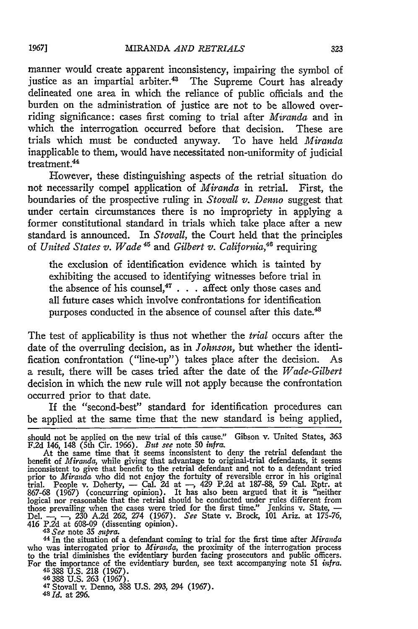manner would create apparent inconsistency, impairing the symbol of iustice as an impartial arbiter.<sup>43</sup> The Supreme Court has already delineated one area in which the reliance of public officials and the burden on the administration of justice are not to be allowed overriding significance: cases first coming to trial after *Miranda* and in which the interrogation occurred before that decision. These are trials which must be conducted anyway. To have held *Miranda* inapplicable to them, would have necessitated non-uniformity of judicial treatment.<sup>44</sup>

However, these distinguishing aspects of the retrial situation do not necessarily compel application of *Miranda* in retrial. First, the boundaries of the prospective ruling in *Stovall v. Denno* suggest that under certain circumstances there is no impropriety in applying a former constitutional standard in trials which take place after a new standard is announced. In *Stovall,* the Court held that the principles of *United States v. Wade*<sup>45</sup> and *Gilbert v. California*,<sup>46</sup> requiring

the exclusion of identification evidence which is tainted by exhibiting the accused to identifying witnesses before trial in the absence of his counsel, $47$ ... affect only those cases and all future cases which involve confrontations for identification purposes conducted in the absence of counsel after this date.<sup>48</sup>

The test of applicability is thus not whether the *trial* occurs after the date of the overruling decision, as in *Johnson,* but whether the identification confrontation ("line-up") takes place after the decision. As a result, there will be cases tried after the date of the *Wade-Gilbert* decision in which the new rule will not apply because the confrontation occurred prior to that date.

If the "second-best" standard for identification procedures can be applied at the same time that the new standard is being applied,

who was interrogated prior to *Miranda*, the proximity of the interrogation process<br>to the trial diminishes the evidentiary burden facing prosecutors and public officers.<br>For the importance of the evidentiary burden, see t

46 388 U.S. 263 (1967).<br><sup>47</sup> Stovall v. Denno, 388 U.S. 293, 294 (1967)<br><sup>48 Id.</sup> at 296.

should not be applied on the new trial of this cause." Gibson v. United States, **363** F.2d 146, 148 (5th Cir. 1966). *But see* note 50 *infra.*

At the same time that it seems inconsistent to deny the retrial defendant the benefit of *Miranda,* while giving that advantage to original-trial defendants, it seems inconsistent to give that benefit to the retrial defendant and not to a defendant tried prior to *Miranda* who did not enjoy the fortuity of reversible error in his original trial. People v. Doherty, - Cal. 2d at -, 429 P.2d at 187-88, 59 Cal. Rptr. at 867-68 (1967) (concurring opinion). It has also been argued that it is "neither logical nor reasonable that the retrial should be conducted under rules different from those prevailing when the cases were tried for the first time." Jenkins v. State, -<br>Del. --, --, 230 A.2d 262, 274 (1967). *See* State v. Brock, 101 Ariz. at 175-76 416 P.2d at 608-09 (dissenting opinion). *43 See* note **35** *vsupra.* <sup>44</sup>In the situation of a defendant coming to trial for the first time after *Miranda*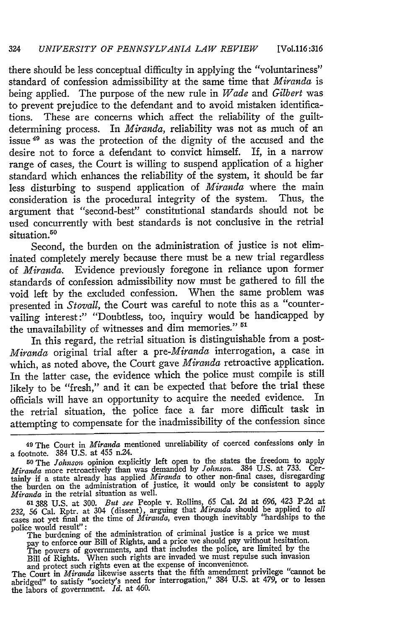there should be less conceptual difficulty in applying the "voluntariness" standard of confession admissibility at the same time that *Miranda* is being applied. The purpose of the new rule in *Wade* and *Gilbert* was to prevent prejudice to the defendant and to avoid mistaken identifications. These are concerns which affect the reliability of the guiltdetermining process. In *Miranda,* reliability was not as much of an issue <sup>49</sup> as was the protection of the dignity of the accused and the desire not to force a defendant to convict himself. If, in a narrow range of cases, the Court is willing to suspend application of a higher standard which enhances the reliability of the system, it should be far less disturbing to suspend application of *Miranda* where the main consideration is the procedural integrity of the system. Thus, the argument that "second-best" constitutional standards should not be used concurrently with best standards is not conclusive in the retrial situation.<sup>50</sup>

Second, the burden on the administration of justice is not eliminated completely merely because there must be a new trial regardless of *Miranda.* Evidence previously foregone in reliance upon former standards of confession admissibility now must be gathered to **fill** the void left **by** the excluded confession. When the same problem was presented in *Stovall,* the Court was careful to note this as a "countervailing interest:" "Doubtless, too, inquiry would be handicapped **by** the unavailability of witnesses and dim memories." **5'**

In this regard, the retrial situation is distinguishable from a post-*Miranda* original trial after a *pre-Miranda* interrogation, a case in which, as noted above, the Court gave *Miranda* retroactive application. In the latter case, the evidence which the police must compile is still likely to be "fresh," and it can be expected that before the trial these<br>officials will have an opportunity to acquire the needed evidence. In officials will have an opportunity to acquire the needed evidence. the retrial situation, the police face a far more difficult task in attempting to compensate for the inadmissibility of the confession since

The burdening of the administration of criminal justice is a price we must<br>pay to enforce our Bill of Rights, and a price we should pay without hesitation.<br>The powers of governments, and that includes the police, are limi

**<sup>49</sup>**The Court in *Miranda* mentioned unreliability of coerced confessions only in a footnote. 384 **U.S.** at 455 n.24.

**<sup>50</sup>**The *Johnson* opinion explicitly left open to the states the freedom to apply *Miranda* more retroactively than was demanded **by** *Johnson.* 384 **U.S.** at **733.** Certainly if a state already has applied *Miranda* to other non-final cases, disregarding the burden on the administration of justice, it would only be consistent to apply *Miranda* in the retrial situation as well.

**<sup>51388</sup> U.S.** at 300. *But see* People v. Rollins, 65 Cal. **2d** at 696, 423 **P.2d** at **232,** 56 Cal. Rptr. at 304 (dissent), arguing that *Miranda* should be applied to *all* cases not yet final at the time of *Miranda*, even though inevitably "hardships to the police would result":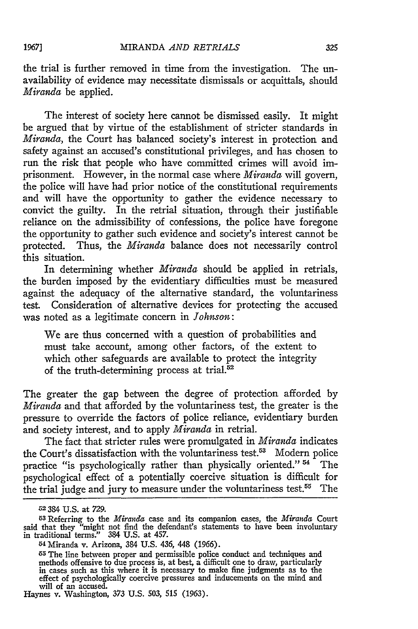the trial is further removed in time from the investigation. The unavailability of evidence may necessitate dismissals or acquittals, should *Miranda* be applied.

The interest of society here cannot be dismissed easily. It might be argued that **by** virtue of the establishment of stricter standards in *Miranda,* the Court has balanced society's interest in protection and safety against an accused's constitutional privileges, and has chosen to run the risk that people who have committed crimes will avoid imprisonment. However, in the normal case where *Miranda* will govern, the police will have had prior notice of the constitutional requirements and will have the opportunity to gather the evidence necessary to convict the guilty. In the retrial situation, through their justifiable reliance on the admissibility of confessions, the police have foregone the opportunity to gather such evidence and society's interest cannot be protected. Thus, the *Miranda* balance does not necessarily control this situation.

In determining whether *Miranda* should be applied in retrials, the burden imposed **by** the evidentiary difficulties must be measured against the adequacy of the alternative standard, the voluntariness test. Consideration of alternative devices for protecting the accused was noted as a legitimate concern in *Johnson:*

We are thus concerned with a question of probabilities and must take account, among other factors, of the extent to which other safeguards are available to protect the integrity of the truth-determining process at trial.52

The greater the gap between the degree of protection afforded **by** *Miranda* and that afforded **by** the voluntariness test, the greater is the pressure to override the factors of police reliance, evidentiary burden and society interest, and to apply *Miranda* in retrial.

The fact that stricter rules were promulgated in *Miranda* indicates the Court's dissatisfaction with the voluntariness test.<sup>53</sup> Modern police practice "is psychologically rather than physically oriented."<sup>54</sup> The psychological effect of a potentially coercive situation is difficult for the trial judge and jury to measure under the voluntariness test.<sup>55</sup> The

1967]

**J52** 384 **U.S.** at 729.

<sup>53</sup>Referring to the *Miranda* case and its companion cases, the *Miranda* Court said that they "might not find the defendant's statements to have been involuntary in traditional terms." 384 U.S. at 457.

<sup>54</sup> Miranda v. Arizona, 384 U.S. 436, 448 (1966).

<sup>&</sup>lt;sup>55</sup> The line between proper and permissible police conduct and techniques and methods offensive to due process is, at best, a difficult one to draw, particularly in cases such as this where it is necessary to make fine ju will of an accused.

Haynes v. Washington, 373 U.S. 503, 515 (1963).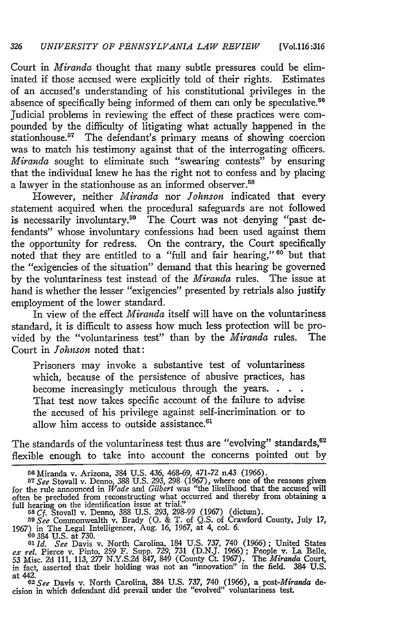Court in *Miranda* thought that many subtle pressures could be eliminated if those accused were explicitly told of their rights. Estimates of an accused's understanding of his constitutional privileges in the absence of specifically being informed of them can only be speculative.<sup>56</sup> Judicial problems in reviewing the effect of these practices were compounded by the difficulty of litigating what actually happened in the stationhouse.<sup>57</sup> The defendant's primary means of showing coercion was to match his testimony against that of the interrogating officers. *Miranda* sought to eliminate such "swearing contests" by ensuring that the individual knew he has the right not to confess and by placing a lawyer in the stationhouse as an informed observer.<sup>58</sup>

However, neither *Miranda* nor *Johnson* indicated that every statement acquired when the procedural safeguards are not followed is necessarily involuntary.<sup>59</sup> The Court was not denying "past defendants" whose involuntary confessions had been used against them the opportunity for redress. On the contrary, the Court specifically noted that they are entitled to a "full and fair hearing," 60 but that the "exigencies of the situation" demand that this hearing be governed by the voluntariness test instead of the *Miranda* rules. The issue at hand is whether the lesser "exigencies" presented by retrials also justify employment of the lower standard.

In view of the effect *Miranda* itself will have on the voluntariness standard, it is difficult to assess how much less protection will be provided by the "voluntariness test" than by the *Miranda* rules. The Court in *Johnson* noted that:

Prisoners may invoke a substantive test of voluntariness which, because of the persistence of abusive practices, has become increasingly meticulous through the years... That test now takes specific account of the failure to advise the accused of his privilege against self-incrimination or to allow him access to outside assistance.<sup>61</sup>

The standards of the voluntariness test thus are "evolving" standards,<sup>62</sup> flexible enough to take into account the concerns pointed out by

<sup>5</sup><sup>6</sup> Miranda v. Arizona, 384 U.S. 436, 468-69, 471-72 n.43 (1966). **<sup>57</sup>***See* Stovall v. Denno, 388 U.S. 293, 298 (1967), where one of the reasons given for the rule announced in *Wade and Gilbert* was "the likelihood that the accused will often be precluded from reconstructing what occurred and thereby from obtaining a full hearing on the identification issue at trial." **<sup>58</sup>***Cf.* Stovall v. Denno, 388 U.S. 293, 298-99 (1967) (dictum).

*<sup>5</sup> <sup>9</sup> See* Commonwealth v. Brady **(0.** & T. of Q.S. of Crawford County, July 17, 1967) in The Legal Intelligencer, Aug. 16, 1967, at 4, col. 6. **'60 384** U.S. at 730. *61Id. See* Davis v. North Carolina, 184 U.S. 737, 740 (1966); United States

*ex rel.* Pierce v. Pinto, 259 F. Supp. *729,* 731 (D.N.J. 1966) ; People v. La Belle, 53 Misc. 2d 111, 113, 277 N.Y.S.2d 847, 849 (County Ct. 1967). The *Miranda* Court, in fact, asserted that their holding was not an "innovation" in the field. 384 U.S. at 442.

*<sup>6</sup> <sup>2</sup> See* Davis v. North Carolina, 384 U.S. 737, 740 (1966), a post-Miranda decision in which defendant did prevail under the "evolved" voluntariness test.